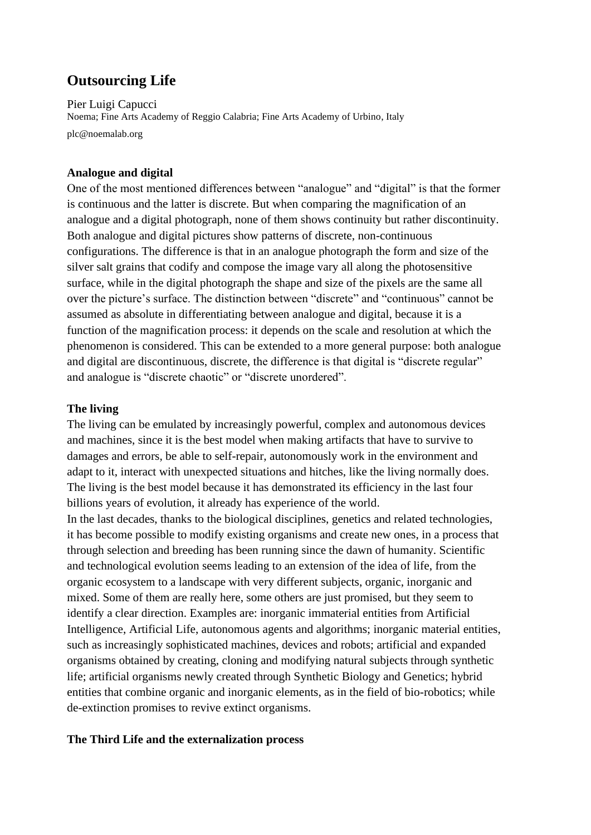# **Outsourcing Life**

Pier Luigi Capucci Noema; Fine Arts Academy of Reggio Calabria; Fine Arts Academy of Urbino, Italy plc@noemalab.org

## **Analogue and digital**

One of the most mentioned differences between "analogue" and "digital" is that the former is continuous and the latter is discrete. But when comparing the magnification of an analogue and a digital photograph, none of them shows continuity but rather discontinuity. Both analogue and digital pictures show patterns of discrete, non-continuous configurations. The difference is that in an analogue photograph the form and size of the silver salt grains that codify and compose the image vary all along the photosensitive surface, while in the digital photograph the shape and size of the pixels are the same all over the picture's surface. The distinction between "discrete" and "continuous" cannot be assumed as absolute in differentiating between analogue and digital, because it is a function of the magnification process: it depends on the scale and resolution at which the phenomenon is considered. This can be extended to a more general purpose: both analogue and digital are discontinuous, discrete, the difference is that digital is "discrete regular" and analogue is "discrete chaotic" or "discrete unordered".

## **The living**

The living can be emulated by increasingly powerful, complex and autonomous devices and machines, since it is the best model when making artifacts that have to survive to damages and errors, be able to self-repair, autonomously work in the environment and adapt to it, interact with unexpected situations and hitches, like the living normally does. The living is the best model because it has demonstrated its efficiency in the last four billions years of evolution, it already has experience of the world.

In the last decades, thanks to the biological disciplines, genetics and related technologies, it has become possible to modify existing organisms and create new ones, in a process that through selection and breeding has been running since the dawn of humanity. Scientific and technological evolution seems leading to an extension of the idea of life, from the organic ecosystem to a landscape with very different subjects, organic, inorganic and mixed. Some of them are really here, some others are just promised, but they seem to identify a clear direction. Examples are: inorganic immaterial entities from Artificial Intelligence, Artificial Life, autonomous agents and algorithms; inorganic material entities, such as increasingly sophisticated machines, devices and robots; artificial and expanded organisms obtained by creating, cloning and modifying natural subjects through synthetic life; artificial organisms newly created through Synthetic Biology and Genetics; hybrid entities that combine organic and inorganic elements, as in the field of bio-robotics; while de-extinction promises to revive extinct organisms.

## **The Third Life and the externalization process**